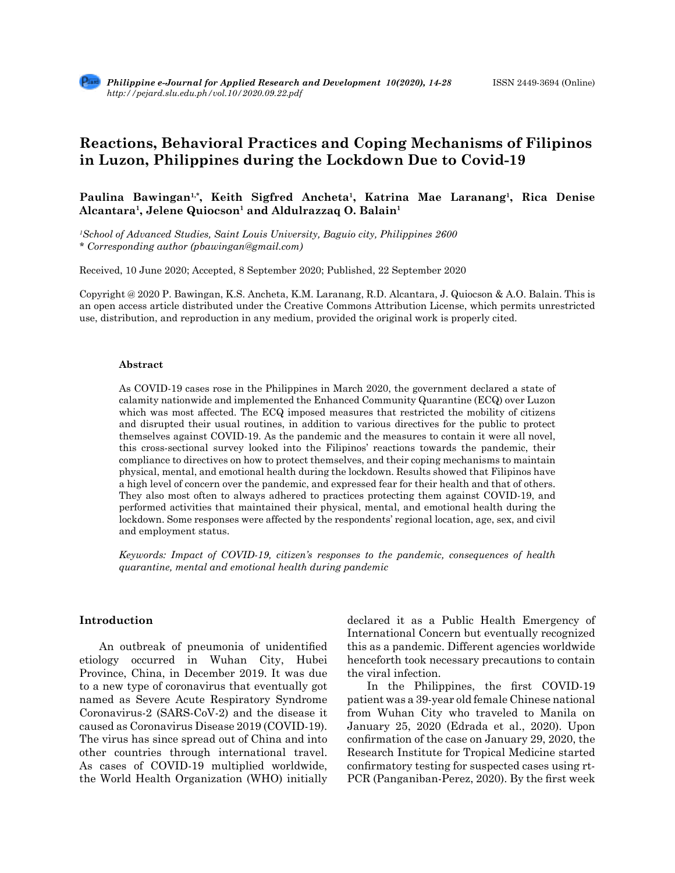# **Reactions, Behavioral Practices and Coping Mechanisms of Filipinos in Luzon, Philippines during the Lockdown Due to Covid-19**

Paulina Bawingan<sup>1,\*</sup>, Keith Sigfred Ancheta<sup>1</sup>, Katrina Mae Laranang<sup>1</sup>, Rica Denise Alcantara<sup>1</sup>, Jelene Quiocson<sup>1</sup> and Aldulrazzaq O. Balain<sup>1</sup>

*1 School of Advanced Studies, Saint Louis University, Baguio city, Philippines 2600 \* Corresponding author (pbawingan@gmail.com)*

Received, 10 June 2020; Accepted, 8 September 2020; Published, 22 September 2020

Copyright @ 2020 P. Bawingan, K.S. Ancheta, K.M. Laranang, R.D. Alcantara, J. Quiocson & A.O. Balain. This is an open access article distributed under the Creative Commons Attribution License, which permits unrestricted use, distribution, and reproduction in any medium, provided the original work is properly cited.

#### **Abstract**

As COVID-19 cases rose in the Philippines in March 2020, the government declared a state of calamity nationwide and implemented the Enhanced Community Quarantine (ECQ) over Luzon which was most affected. The ECQ imposed measures that restricted the mobility of citizens and disrupted their usual routines, in addition to various directives for the public to protect themselves against COVID-19. As the pandemic and the measures to contain it were all novel, this cross-sectional survey looked into the Filipinos' reactions towards the pandemic, their compliance to directives on how to protect themselves, and their coping mechanisms to maintain physical, mental, and emotional health during the lockdown. Results showed that Filipinos have a high level of concern over the pandemic, and expressed fear for their health and that of others. They also most often to always adhered to practices protecting them against COVID-19, and performed activities that maintained their physical, mental, and emotional health during the lockdown. Some responses were affected by the respondents' regional location, age, sex, and civil and employment status.

*Keywords: Impact of COVID-19, citizen's responses to the pandemic, consequences of health quarantine, mental and emotional health during pandemic*

# **Introduction**

 An outbreak of pneumonia of unidentified etiology occurred in Wuhan City, Hubei Province, China, in December 2019. It was due to a new type of coronavirus that eventually got named as Severe Acute Respiratory Syndrome Coronavirus-2 (SARS-CoV-2) and the disease it caused as Coronavirus Disease 2019 (COVID-19). The virus has since spread out of China and into other countries through international travel. As cases of COVID-19 multiplied worldwide, the World Health Organization (WHO) initially declared it as a Public Health Emergency of International Concern but eventually recognized this as a pandemic. Different agencies worldwide henceforth took necessary precautions to contain the viral infection.

 In the Philippines, the first COVID-19 patient was a 39-year old female Chinese national from Wuhan City who traveled to Manila on January 25, 2020 (Edrada et al., 2020). Upon confirmation of the case on January 29, 2020, the Research Institute for Tropical Medicine started confirmatory testing for suspected cases using rt-PCR (Panganiban-Perez, 2020). By the first week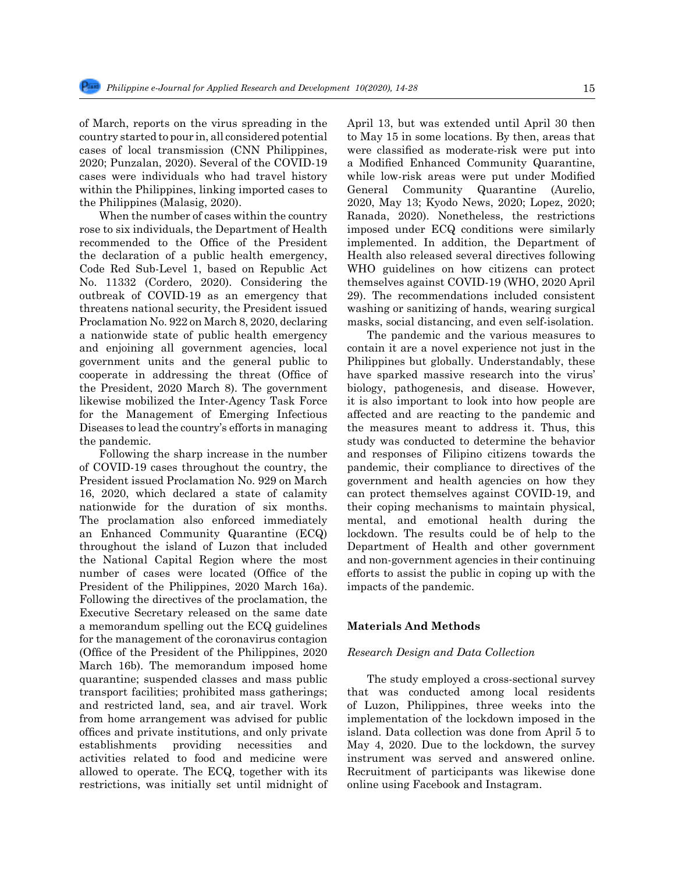of March, reports on the virus spreading in the country started to pour in, all considered potential cases of local transmission (CNN Philippines, 2020; Punzalan, 2020). Several of the COVID-19 cases were individuals who had travel history within the Philippines, linking imported cases to the Philippines (Malasig, 2020).

When the number of cases within the country rose to six individuals, the Department of Health recommended to the Office of the President the declaration of a public health emergency, Code Red Sub-Level 1, based on Republic Act No. 11332 (Cordero, 2020). Considering the outbreak of COVID-19 as an emergency that threatens national security, the President issued Proclamation No. 922 on March 8, 2020, declaring a nationwide state of public health emergency and enjoining all government agencies, local government units and the general public to cooperate in addressing the threat (Office of the President, 2020 March 8). The government likewise mobilized the Inter-Agency Task Force for the Management of Emerging Infectious Diseases to lead the country's efforts in managing the pandemic.

Following the sharp increase in the number of COVID-19 cases throughout the country, the President issued Proclamation No. 929 on March 16, 2020, which declared a state of calamity nationwide for the duration of six months. The proclamation also enforced immediately an Enhanced Community Quarantine (ECQ) throughout the island of Luzon that included the National Capital Region where the most number of cases were located (Office of the President of the Philippines, 2020 March 16a). Following the directives of the proclamation, the Executive Secretary released on the same date a memorandum spelling out the ECQ guidelines for the management of the coronavirus contagion (Office of the President of the Philippines, 2020 March 16b). The memorandum imposed home quarantine; suspended classes and mass public transport facilities; prohibited mass gatherings; and restricted land, sea, and air travel. Work from home arrangement was advised for public offices and private institutions, and only private establishments providing necessities and activities related to food and medicine were allowed to operate. The ECQ, together with its restrictions, was initially set until midnight of April 13, but was extended until April 30 then to May 15 in some locations. By then, areas that were classified as moderate-risk were put into a Modified Enhanced Community Quarantine, while low-risk areas were put under Modified General Community Quarantine (Aurelio, 2020, May 13; Kyodo News, 2020; Lopez, 2020; Ranada, 2020). Nonetheless, the restrictions imposed under ECQ conditions were similarly implemented. In addition, the Department of Health also released several directives following WHO guidelines on how citizens can protect themselves against COVID-19 (WHO, 2020 April 29). The recommendations included consistent washing or sanitizing of hands, wearing surgical masks, social distancing, and even self-isolation.

The pandemic and the various measures to contain it are a novel experience not just in the Philippines but globally. Understandably, these have sparked massive research into the virus' biology, pathogenesis, and disease. However, it is also important to look into how people are affected and are reacting to the pandemic and the measures meant to address it. Thus, this study was conducted to determine the behavior and responses of Filipino citizens towards the pandemic, their compliance to directives of the government and health agencies on how they can protect themselves against COVID-19, and their coping mechanisms to maintain physical, mental, and emotional health during the lockdown. The results could be of help to the Department of Health and other government and non-government agencies in their continuing efforts to assist the public in coping up with the impacts of the pandemic.

## **Materials And Methods**

#### *Research Design and Data Collection*

The study employed a cross-sectional survey that was conducted among local residents of Luzon, Philippines, three weeks into the implementation of the lockdown imposed in the island. Data collection was done from April 5 to May 4, 2020. Due to the lockdown, the survey instrument was served and answered online. Recruitment of participants was likewise done online using Facebook and Instagram.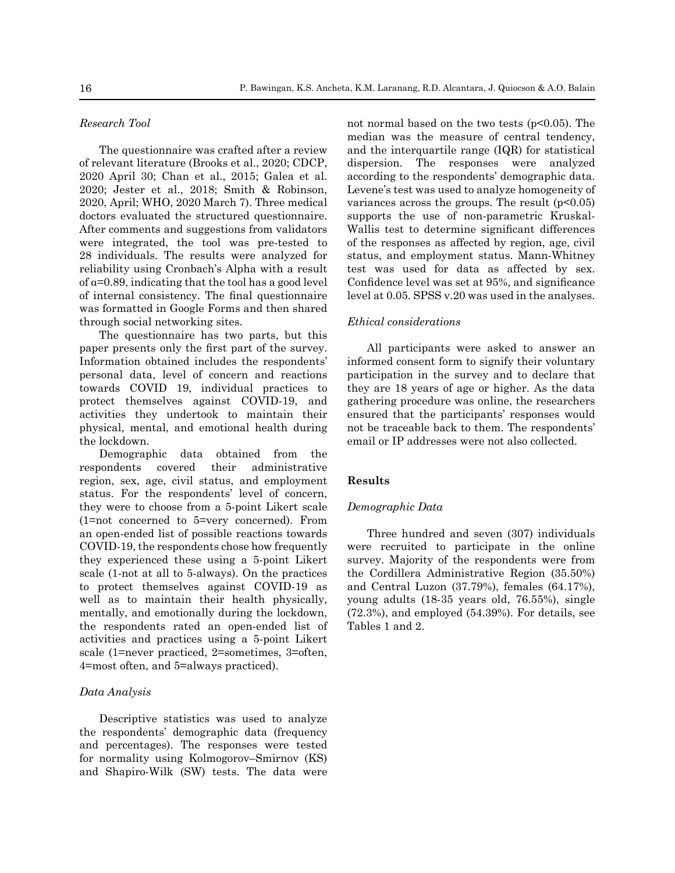# *Research Tool*

The questionnaire was crafted after a review of relevant literature (Brooks et al., 2020; CDCP, 2020 April 30; Chan et al., 2015; Galea et al. 2020; Jester et al., 2018; Smith & Robinson, 2020, April; WHO, 2020 March 7). Three medical doctors evaluated the structured questionnaire. After comments and suggestions from validators were integrated, the tool was pre-tested to 28 individuals. The results were analyzed for reliability using Cronbach's Alpha with a result of  $\alpha$ =0.89, indicating that the tool has a good level of internal consistency. The final questionnaire was formatted in Google Forms and then shared through social networking sites.

The questionnaire has two parts, but this paper presents only the first part of the survey. Information obtained includes the respondents' personal data, level of concern and reactions towards COVID 19, individual practices to protect themselves against COVID-19, and activities they undertook to maintain their physical, mental, and emotional health during the lockdown.

Demographic data obtained from the respondents covered their administrative region, sex, age, civil status, and employment status. For the respondents' level of concern, they were to choose from a 5-point Likert scale (1=not concerned to 5=very concerned). From an open-ended list of possible reactions towards COVID-19, the respondents chose how frequently they experienced these using a 5-point Likert scale (1-not at all to 5-always). On the practices to protect themselves against COVID-19 as well as to maintain their health physically, mentally, and emotionally during the lockdown, the respondents rated an open-ended list of activities and practices using a 5-point Likert scale (1=never practiced, 2=sometimes, 3=often, 4=most often, and 5=always practiced).

## *Data Analysis*

Descriptive statistics was used to analyze the respondents' demographic data (frequency and percentages). The responses were tested for normality using Kolmogorov–Smirnov (KS) and Shapiro-Wilk (SW) tests. The data were not normal based on the two tests  $(p<0.05)$ . The median was the measure of central tendency, and the interquartile range (IQR) for statistical dispersion. The responses were analyzed according to the respondents' demographic data. Levene's test was used to analyze homogeneity of variances across the groups. The result  $(p<0.05)$ supports the use of non-parametric Kruskal-Wallis test to determine significant differences of the responses as affected by region, age, civil status, and employment status. Mann-Whitney test was used for data as affected by sex. Confidence level was set at 95%, and significance level at 0.05. SPSS v.20 was used in the analyses.

#### *Ethical considerations*

All participants were asked to answer an informed consent form to signify their voluntary participation in the survey and to declare that they are 18 years of age or higher. As the data gathering procedure was online, the researchers ensured that the participants' responses would not be traceable back to them. The respondents' email or IP addresses were not also collected.

## **Results**

#### *Demographic Data*

Three hundred and seven (307) individuals were recruited to participate in the online survey. Majority of the respondents were from the Cordillera Administrative Region (35.50%) and Central Luzon (37.79%), females (64.17%), young adults (18-35 years old, 76.55%), single (72.3%), and employed (54.39%). For details, see Tables 1 and 2.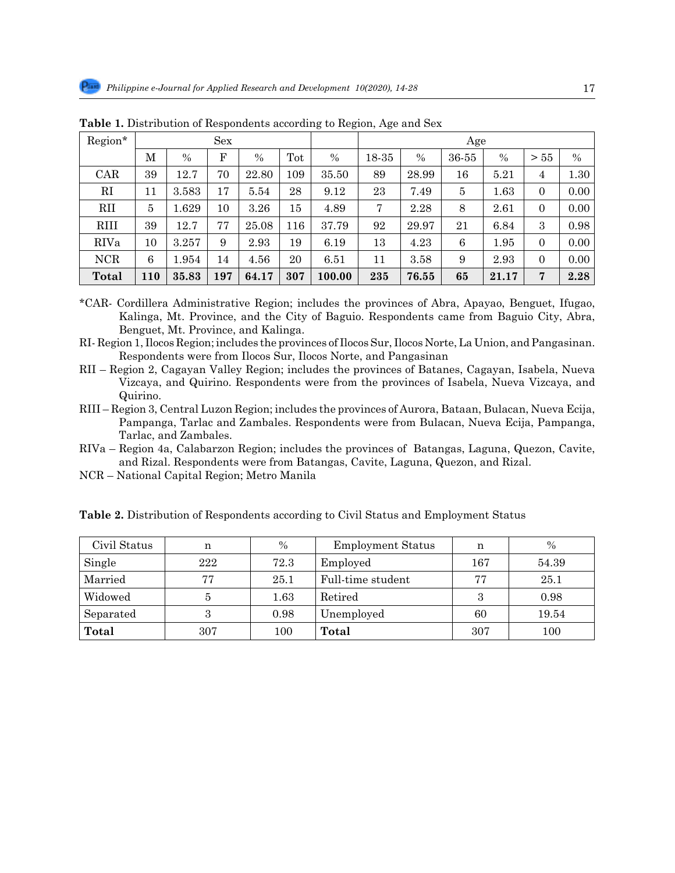| Region*     | Sex |       |     |       |     |        | Age   |       |       |       |          |      |  |
|-------------|-----|-------|-----|-------|-----|--------|-------|-------|-------|-------|----------|------|--|
|             | М   | $\%$  | F   | $\%$  | Tot | $\%$   | 18-35 | $\%$  | 36-55 | $\%$  | > 55     | $\%$ |  |
| CAR         | 39  | 12.7  | 70  | 22.80 | 109 | 35.50  | 89    | 28.99 | 16    | 5.21  | 4        | 1.30 |  |
| RI          | 11  | 3.583 | 17  | 5.54  | 28  | 9.12   | 23    | 7.49  | 5     | 1.63  | $\Omega$ | 0.00 |  |
| <b>RII</b>  | 5   | 1.629 | 10  | 3.26  | 15  | 4.89   | 7     | 2.28  | 8     | 2.61  | 0        | 0.00 |  |
| <b>RIII</b> | 39  | 12.7  | 77  | 25.08 | 116 | 37.79  | 92    | 29.97 | 21    | 6.84  | 3        | 0.98 |  |
| RIVa        | 10  | 3.257 | 9   | 2.93  | 19  | 6.19   | 13    | 4.23  | 6     | 1.95  | $\Omega$ | 0.00 |  |
| <b>NCR</b>  | 6   | 1.954 | 14  | 4.56  | 20  | 6.51   | 11    | 3.58  | 9     | 2.93  | $\Omega$ | 0.00 |  |
| Total       | 110 | 35.83 | 197 | 64.17 | 307 | 100.00 | 235   | 76.55 | 65    | 21.17 | 7        | 2.28 |  |

**Table 1.** Distribution of Respondents according to Region, Age and Sex

\*CAR- Cordillera Administrative Region; includes the provinces of Abra, Apayao, Benguet, Ifugao, Kalinga, Mt. Province, and the City of Baguio. Respondents came from Baguio City, Abra, Benguet, Mt. Province, and Kalinga.

RI- Region 1, Ilocos Region; includes the provinces of Ilocos Sur, Ilocos Norte, La Union, and Pangasinan. Respondents were from Ilocos Sur, Ilocos Norte, and Pangasinan

- RII Region 2, Cagayan Valley Region; includes the provinces of Batanes, Cagayan, Isabela, Nueva Vizcaya, and Quirino. Respondents were from the provinces of Isabela, Nueva Vizcaya, and Quirino.
- RIII Region 3, Central Luzon Region; includes the provinces of Aurora, Bataan, Bulacan, Nueva Ecija, Pampanga, Tarlac and Zambales. Respondents were from Bulacan, Nueva Ecija, Pampanga, Tarlac, and Zambales.
- RIVa Region 4a, Calabarzon Region; includes the provinces of Batangas, Laguna, Quezon, Cavite, and Rizal. Respondents were from Batangas, Cavite, Laguna, Quezon, and Rizal.
- NCR National Capital Region; Metro Manila

| Civil Status | n   | $\frac{0}{0}$ | <b>Employment Status</b> | n   | $\frac{0}{0}$ |
|--------------|-----|---------------|--------------------------|-----|---------------|
| Single       | 222 | 72.3          | Employed                 | 167 | 54.39         |
| Married      | 77  | 25.1          | Full-time student        | 77  | 25.1          |
| Widowed      | 5   | 1.63          | Retired                  | 3   | 0.98          |
| Separated    | 3   | 0.98          | Unemployed               | 60  | 19.54         |
| Total        | 307 | 100           | Total                    | 307 | 100           |

**Table 2.** Distribution of Respondents according to Civil Status and Employment Status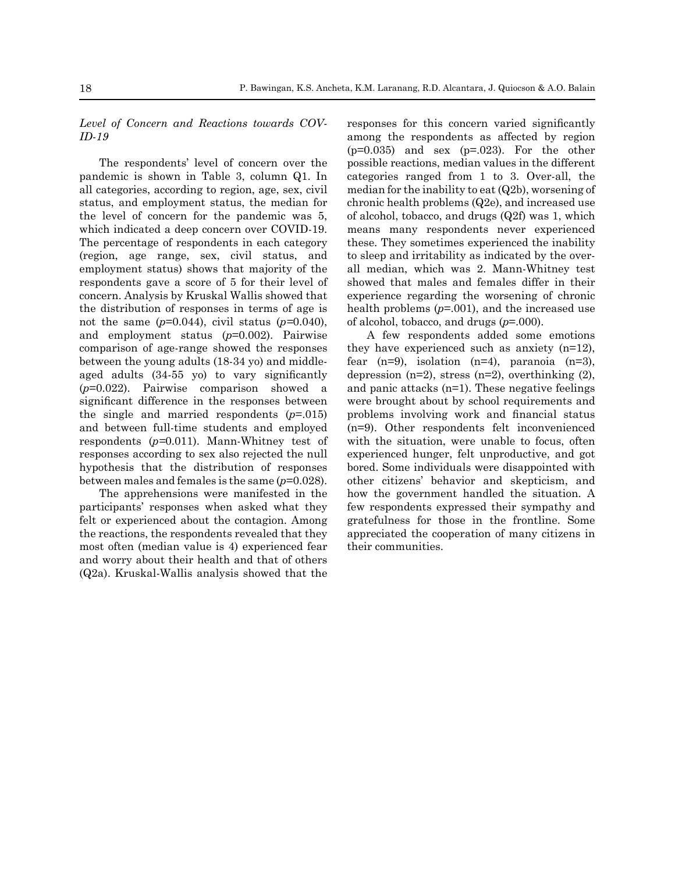*Level of Concern and Reactions towards COV-ID-19*

The respondents' level of concern over the pandemic is shown in Table 3, column Q1. In all categories, according to region, age, sex, civil status, and employment status, the median for the level of concern for the pandemic was 5, which indicated a deep concern over COVID-19. The percentage of respondents in each category (region, age range, sex, civil status, and employment status) shows that majority of the respondents gave a score of 5 for their level of concern. Analysis by Kruskal Wallis showed that the distribution of responses in terms of age is not the same  $(p=0.044)$ , civil status  $(p=0.040)$ , and employment status (*p*=0.002). Pairwise comparison of age-range showed the responses between the young adults (18-34 yo) and middleaged adults (34-55 yo) to vary significantly (*p*=0.022). Pairwise comparison showed a significant difference in the responses between the single and married respondents (*p*=.015) and between full-time students and employed respondents (*p=*0.011). Mann-Whitney test of responses according to sex also rejected the null hypothesis that the distribution of responses between males and females is the same (*p*=0.028).

The apprehensions were manifested in the participants' responses when asked what they felt or experienced about the contagion. Among the reactions, the respondents revealed that they most often (median value is 4) experienced fear and worry about their health and that of others (Q2a). Kruskal-Wallis analysis showed that the responses for this concern varied significantly among the respondents as affected by region  $(p=0.035)$  and sex  $(p=.023)$ . For the other possible reactions, median values in the different categories ranged from 1 to 3. Over-all, the median for the inability to eat (Q2b), worsening of chronic health problems (Q2e), and increased use of alcohol, tobacco, and drugs (Q2f) was 1, which means many respondents never experienced these. They sometimes experienced the inability to sleep and irritability as indicated by the overall median, which was 2. Mann-Whitney test showed that males and females differ in their experience regarding the worsening of chronic health problems (*p*=.001), and the increased use of alcohol, tobacco, and drugs (*p*=.000).

A few respondents added some emotions they have experienced such as anxiety (n=12), fear  $(n=9)$ , isolation  $(n=4)$ , paranoia  $(n=3)$ , depression  $(n=2)$ , stress  $(n=2)$ , overthinking  $(2)$ , and panic attacks (n=1). These negative feelings were brought about by school requirements and problems involving work and financial status (n=9). Other respondents felt inconvenienced with the situation, were unable to focus, often experienced hunger, felt unproductive, and got bored. Some individuals were disappointed with other citizens' behavior and skepticism, and how the government handled the situation. A few respondents expressed their sympathy and gratefulness for those in the frontline. Some appreciated the cooperation of many citizens in their communities.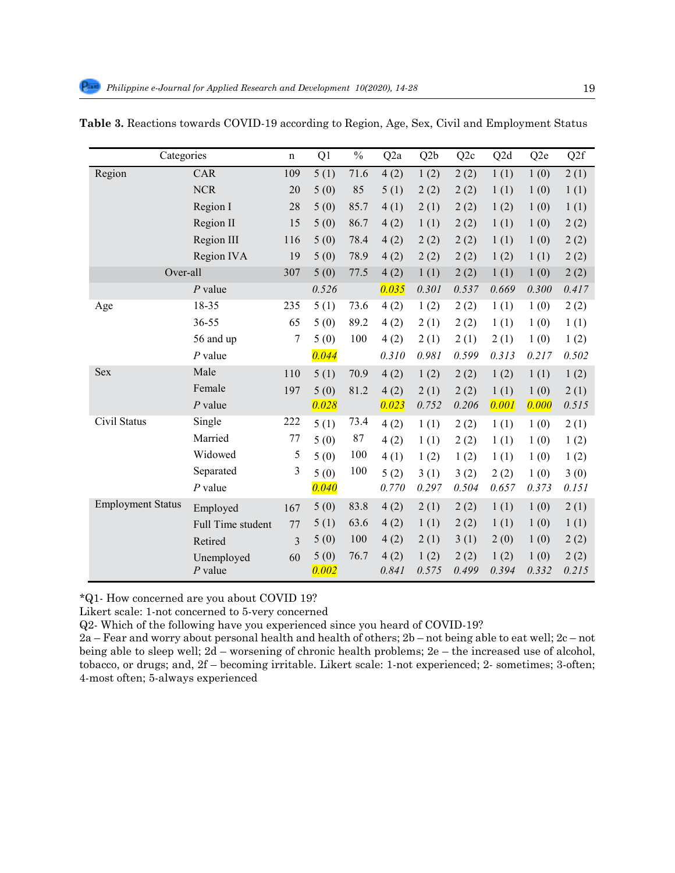| Categories               |                   | $\mathbf n$    | Q1    | $\frac{0}{0}$ | Q <sub>2</sub> a | Q <sub>2</sub> b | Q <sub>2</sub> c | Q2d   | Q <sub>2e</sub> | Q <sub>2f</sub> |
|--------------------------|-------------------|----------------|-------|---------------|------------------|------------------|------------------|-------|-----------------|-----------------|
| Region                   | CAR               | 109            | 5(1)  | 71.6          | 4(2)             | 1(2)             | 2(2)             | 1(1)  | 1(0)            | 2(1)            |
|                          | <b>NCR</b>        | 20             | 5(0)  | 85            | 5(1)             | 2(2)             | 2(2)             | 1(1)  | 1(0)            | 1(1)            |
|                          | Region I          | 28             | 5(0)  | 85.7          | 4(1)             | 2(1)             | 2(2)             | 1(2)  | 1(0)            | 1(1)            |
|                          | Region II         | 15             | 5(0)  | 86.7          | 4(2)             | 1(1)             | 2(2)             | 1(1)  | 1(0)            | 2(2)            |
|                          | Region III        | 116            | 5(0)  | 78.4          | 4(2)             | 2(2)             | 2(2)             | 1(1)  | 1(0)            | 2(2)            |
|                          | Region IVA        | 19             | 5(0)  | 78.9          | 4(2)             | 2(2)             | 2(2)             | 1(2)  | 1(1)            | 2(2)            |
| Over-all                 |                   | 307            | 5(0)  | 77.5          | 4(2)             | 1(1)             | 2(2)             | 1(1)  | 1(0)            | 2(2)            |
|                          | $P$ value         |                | 0.526 |               | 0.035            | 0.301            | 0.537            | 0.669 | 0.300           | 0.417           |
| Age                      | 18-35             | 235            | 5(1)  | 73.6          | 4(2)             | 1(2)             | 2(2)             | 1(1)  | 1(0)            | 2(2)            |
|                          | 36-55             | 65             | 5(0)  | 89.2          | 4(2)             | 2(1)             | 2(2)             | 1(1)  | 1(0)            | 1(1)            |
|                          | 56 and up         | 7              | 5(0)  | 100           | 4(2)             | 2(1)             | 2(1)             | 2(1)  | 1(0)            | 1(2)            |
|                          | $P$ value         |                | 0.044 |               | 0.310            | 0.981            | 0.599            | 0.313 | 0.217           | 0.502           |
| <b>Sex</b>               | Male              | 110            | 5(1)  | 70.9          | 4(2)             | 1(2)             | 2(2)             | 1(2)  | 1(1)            | 1(2)            |
|                          | Female            | 197            | 5(0)  | 81.2          | 4(2)             | 2(1)             | 2(2)             | 1(1)  | 1(0)            | 2(1)            |
|                          | $P$ value         |                | 0.028 |               | 0.023            | 0.752            | 0.206            | 0.001 | 0.000           | 0.515           |
| Civil Status             | Single            | 222            | 5(1)  | 73.4          | 4(2)             | 1(1)             | 2(2)             | 1(1)  | 1(0)            | 2(1)            |
|                          | Married           | 77             | 5(0)  | 87            | 4(2)             | 1(1)             | 2(2)             | 1(1)  | 1(0)            | 1(2)            |
|                          | Widowed           | 5              | 5(0)  | 100           | 4(1)             | 1(2)             | 1(2)             | 1(1)  | 1(0)            | 1(2)            |
|                          | Separated         | 3              | 5(0)  | 100           | 5(2)             | 3(1)             | 3(2)             | 2(2)  | 1(0)            | 3(0)            |
|                          | $P$ value         |                | 0.040 |               | 0.770            | 0.297            | 0.504            | 0.657 | 0.373           | 0.151           |
| <b>Employment Status</b> | Employed          | 167            | 5(0)  | 83.8          | 4(2)             | 2(1)             | 2(2)             | 1(1)  | 1(0)            | 2(1)            |
|                          | Full Time student | 77             | 5(1)  | 63.6          | 4(2)             | 1(1)             | 2(2)             | 1(1)  | 1(0)            | 1(1)            |
|                          | Retired           | $\overline{3}$ | 5(0)  | 100           | 4(2)             | 2(1)             | 3(1)             | 2(0)  | 1(0)            | 2(2)            |
|                          | Unemployed        | 60             | 5(0)  | 76.7          | 4(2)             | 1(2)             | 2(2)             | 1(2)  | 1(0)            | 2(2)            |
|                          | $P$ value         |                | 0.002 |               | 0.841            | 0.575            | 0.499            | 0.394 | 0.332           | 0.215           |

|  | Table 3. Reactions towards COVID-19 according to Region, Age, Sex, Civil and Employment Status |
|--|------------------------------------------------------------------------------------------------|

*\**Q1- How concerned are you about COVID 19?

215 *\**Q1- How concerned are you about COVID 19? Likert scale: 1-not concerned to 5-very concerned

216 Likert scale: 1-not concerned to 5-very concerned Q2- Which of the following have you experienced since you heard of COVID-19?

217 Q2- Which of the following have you experienced since you heard of COVID-19? 2a – Fear and worry about personal health and health of others; 2b – not being able to eat well; 2c – not 218 2a – Fear and worry about personal health and health of others; 2b – not being able to eat well; 2c – not being being able to sleep well; 2d – worsening of chronic health problems; 2e – the increased use of alcohol, being able to sleep well;  $2d -$  worsening of chronic health problems,  $2e -$  the increased use of alcohol, tobacco, or drugs; and  $2f$ , bocoming invitable. Likewi scale: 1 not experienced: 2, semetimes: 2 often: tobacco, or drugs; and, 2f – becoming irritable. Likert scale: 1-not experienced; 2- sometimes; 3-often;<br>4-most often; 5-always experienced 4-most often; 5-always experienced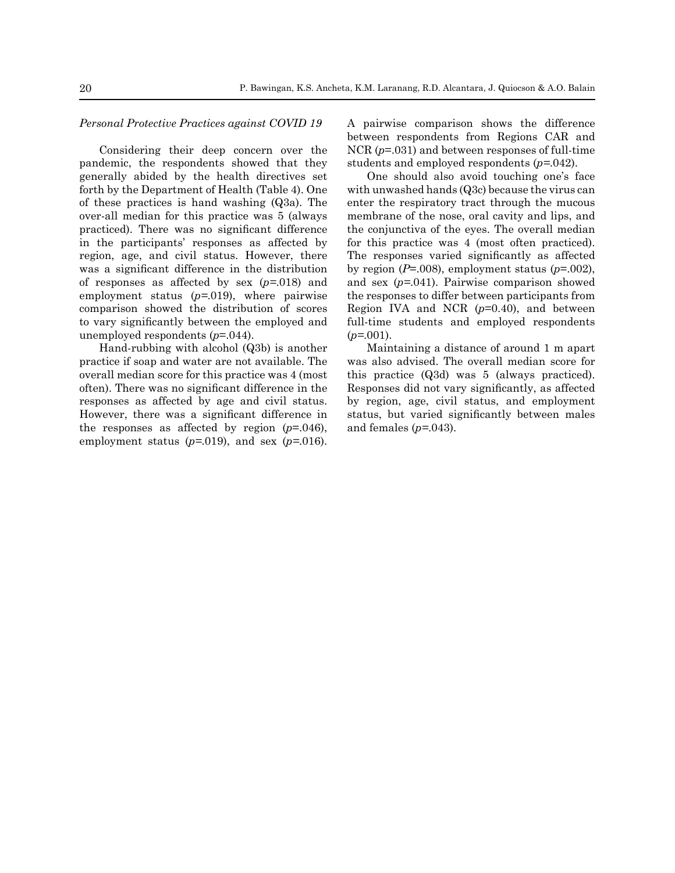#### *Personal Protective Practices against COVID 19*

Considering their deep concern over the pandemic, the respondents showed that they generally abided by the health directives set forth by the Department of Health (Table 4). One of these practices is hand washing (Q3a). The over-all median for this practice was 5 (always practiced). There was no significant difference in the participants' responses as affected by region, age, and civil status. However, there was a significant difference in the distribution of responses as affected by sex (*p=*.018) and employment status (*p=*.019), where pairwise comparison showed the distribution of scores to vary significantly between the employed and unemployed respondents (*p*=.044).

Hand-rubbing with alcohol (Q3b) is another practice if soap and water are not available. The overall median score for this practice was 4 (most often). There was no significant difference in the responses as affected by age and civil status. However, there was a significant difference in the responses as affected by region  $(p=0.046)$ , employment status (*p=*.019), and sex (*p=*.016).

A pairwise comparison shows the difference between respondents from Regions CAR and NCR ( $p=0.031$ ) and between responses of full-time students and employed respondents (*p=*.042).

One should also avoid touching one's face with unwashed hands (Q3c) because the virus can enter the respiratory tract through the mucous membrane of the nose, oral cavity and lips, and the conjunctiva of the eyes. The overall median for this practice was 4 (most often practiced). The responses varied significantly as affected by region ( $P=0.008$ ), employment status ( $p=0.002$ ), and sex (*p=*.041). Pairwise comparison showed the responses to differ between participants from Region IVA and NCR (*p*=0.40), and between full-time students and employed respondents (*p=*.001).

Maintaining a distance of around 1 m apart was also advised. The overall median score for this practice (Q3d) was 5 (always practiced). Responses did not vary significantly, as affected by region, age, civil status, and employment status, but varied significantly between males and females (*p=*.043).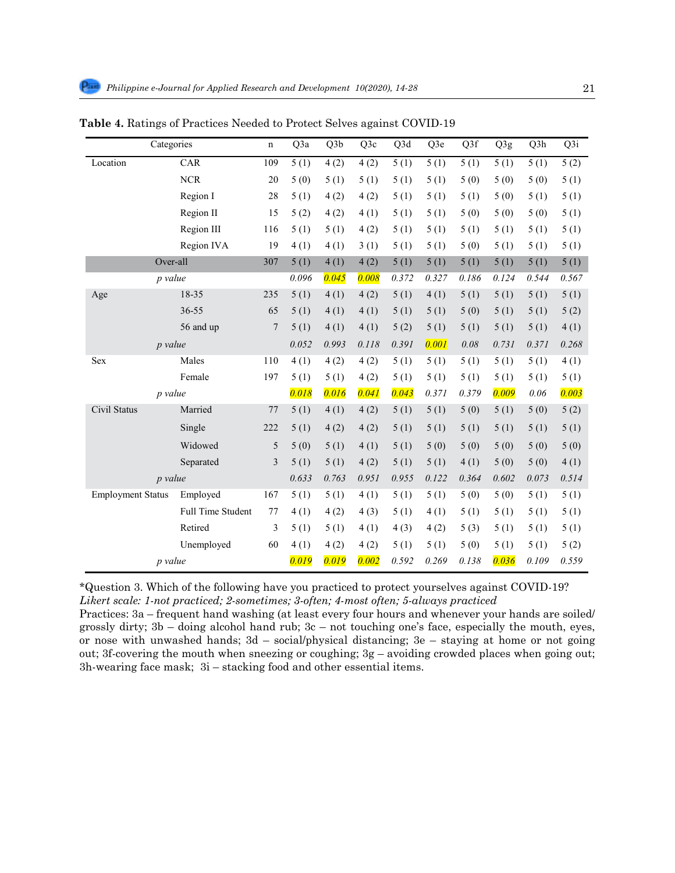| Categories               |                   | n   | Q3a   | Q3b   | Q3c   | Q3d   | Q3e   | Q3f   | Q3g   | Q3h   | Q3i   |
|--------------------------|-------------------|-----|-------|-------|-------|-------|-------|-------|-------|-------|-------|
| Location                 | <b>CAR</b>        | 109 | 5(1)  | 4(2)  | 4(2)  | 5(1)  | 5(1)  | 5(1)  | 5(1)  | 5(1)  | 5(2)  |
|                          | $NCR$             | 20  | 5(0)  | 5(1)  | 5(1)  | 5(1)  | 5(1)  | 5(0)  | 5(0)  | 5(0)  | 5(1)  |
|                          | Region I          | 28  | 5(1)  | 4(2)  | 4(2)  | 5(1)  | 5(1)  | 5(1)  | 5(0)  | 5(1)  | 5(1)  |
|                          | Region II         | 15  | 5(2)  | 4(2)  | 4(1)  | 5(1)  | 5(1)  | 5(0)  | 5(0)  | 5(0)  | 5(1)  |
|                          | Region III        | 116 | 5(1)  | 5(1)  | 4(2)  | 5(1)  | 5(1)  | 5(1)  | 5(1)  | 5(1)  | 5(1)  |
|                          | Region IVA        | 19  | 4(1)  | 4(1)  | 3(1)  | 5(1)  | 5(1)  | 5(0)  | 5(1)  | 5(1)  | 5(1)  |
|                          | Over-all          | 307 | 5(1)  | 4(1)  | 4(2)  | 5(1)  | 5(1)  | 5(1)  | 5(1)  | 5(1)  | 5(1)  |
|                          | p value           |     | 0.096 | 0.045 | 0.008 | 0.372 | 0.327 | 0.186 | 0.124 | 0.544 | 0.567 |
| Age                      | 18-35             | 235 | 5(1)  | 4(1)  | 4(2)  | 5(1)  | 4(1)  | 5(1)  | 5(1)  | 5(1)  | 5(1)  |
|                          | 36-55             | 65  | 5(1)  | 4(1)  | 4(1)  | 5(1)  | 5(1)  | 5(0)  | 5(1)  | 5(1)  | 5(2)  |
|                          | 56 and up         | 7   | 5(1)  | 4(1)  | 4(1)  | 5(2)  | 5(1)  | 5(1)  | 5(1)  | 5(1)  | 4(1)  |
| <i>p</i> value           |                   |     | 0.052 | 0.993 | 0.118 | 0.391 | 0.001 | 0.08  | 0.731 | 0.371 | 0.268 |
| Sex                      | Males             | 110 | 4(1)  | 4(2)  | 4(2)  | 5(1)  | 5(1)  | 5(1)  | 5(1)  | 5(1)  | 4(1)  |
|                          | Female            | 197 | 5(1)  | 5(1)  | 4(2)  | 5(1)  | 5(1)  | 5(1)  | 5(1)  | 5(1)  | 5(1)  |
|                          | p value           |     | 0.018 | 0.016 | 0.041 | 0.043 | 0.371 | 0.379 | 0.009 | 0.06  | 0.003 |
| Civil Status             | Married           | 77  | 5(1)  | 4(1)  | 4(2)  | 5(1)  | 5(1)  | 5(0)  | 5(1)  | 5(0)  | 5(2)  |
|                          | Single            | 222 | 5(1)  | 4(2)  | 4(2)  | 5(1)  | 5(1)  | 5(1)  | 5(1)  | 5(1)  | 5(1)  |
|                          | Widowed           | 5   | 5(0)  | 5(1)  | 4(1)  | 5(1)  | 5(0)  | 5(0)  | 5(0)  | 5(0)  | 5(0)  |
|                          | Separated         | 3   | 5(1)  | 5(1)  | 4(2)  | 5(1)  | 5(1)  | 4(1)  | 5(0)  | 5(0)  | 4(1)  |
|                          | <i>p</i> value    |     | 0.633 | 0.763 | 0.951 | 0.955 | 0.122 | 0.364 | 0.602 | 0.073 | 0.514 |
| <b>Employment Status</b> | Employed          | 167 | 5(1)  | 5(1)  | 4(1)  | 5(1)  | 5(1)  | 5(0)  | 5(0)  | 5(1)  | 5(1)  |
|                          | Full Time Student | 77  | 4(1)  | 4(2)  | 4(3)  | 5(1)  | 4(1)  | 5(1)  | 5(1)  | 5(1)  | 5(1)  |
|                          | Retired           | 3   | 5(1)  | 5(1)  | 4(1)  | 4(3)  | 4(2)  | 5(3)  | 5(1)  | 5(1)  | 5(1)  |
|                          | Unemployed        | 60  | 4(1)  | 4(2)  | 4(2)  | 5(1)  | 5(1)  | 5(0)  | 5(1)  | 5(1)  | 5(2)  |
|                          | p value           |     | 0.019 | 0.019 | 0.002 | 0.592 | 0.269 | 0.138 | 0.036 | 0.109 | 0.559 |

Table 4. Ratings of Practices Needed to Protect Selves against COVID-19

*Likert scale: 1-not practiced; 2-sometimes; 3-often; 4-most often; 5-always practiced* \*Question 3. Which of the following have you practiced to protect yourselves against COVID-19?

Practices: 3a – frequent hand washing (at least every four hours and whenever your hands are soiled/ grossly dirty;  $3b -$  doing alcohol hand rub;  $3c -$  not touching one's face, especially the mouth, eyes, or nose with unwashed hands;  $3d$  – social/physical distancing;  $3e$  – staying at home or not going out; 3f-covering the mouth when sneezing or coughing; 3g – avoiding crowded places when going out; 3h-wearing face mask;  $3i$  – stacking food and other essential items.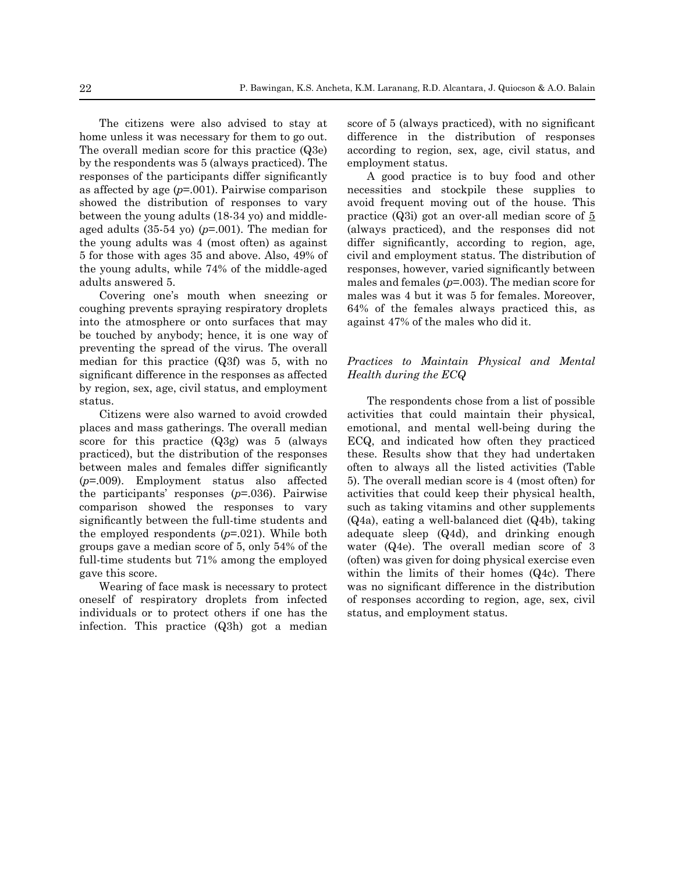The citizens were also advised to stay at home unless it was necessary for them to go out. The overall median score for this practice (Q3e) by the respondents was 5 (always practiced). The responses of the participants differ significantly as affected by age (*p*=.001). Pairwise comparison showed the distribution of responses to vary between the young adults (18-34 yo) and middleaged adults (35-54 yo) (*p*=.001). The median for the young adults was 4 (most often) as against 5 for those with ages 35 and above. Also, 49% of the young adults, while 74% of the middle-aged adults answered 5.

Covering one's mouth when sneezing or coughing prevents spraying respiratory droplets into the atmosphere or onto surfaces that may be touched by anybody; hence, it is one way of preventing the spread of the virus. The overall median for this practice (Q3f) was 5, with no significant difference in the responses as affected by region, sex, age, civil status, and employment status.

Citizens were also warned to avoid crowded places and mass gatherings. The overall median score for this practice (Q3g) was 5 (always practiced), but the distribution of the responses between males and females differ significantly (*p*=.009). Employment status also affected the participants' responses (*p*=.036). Pairwise comparison showed the responses to vary significantly between the full-time students and the employed respondents (*p*=.021). While both groups gave a median score of 5, only 54% of the full-time students but 71% among the employed gave this score.

Wearing of face mask is necessary to protect oneself of respiratory droplets from infected individuals or to protect others if one has the infection. This practice (Q3h) got a median score of 5 (always practiced), with no significant difference in the distribution of responses according to region, sex, age, civil status, and employment status.

A good practice is to buy food and other necessities and stockpile these supplies to avoid frequent moving out of the house. This practice (Q3i) got an over-all median score of 5 (always practiced), and the responses did not differ significantly, according to region, age, civil and employment status. The distribution of responses, however, varied significantly between males and females (*p*=.003). The median score for males was 4 but it was 5 for females. Moreover, 64% of the females always practiced this, as against 47% of the males who did it.

# *Practices to Maintain Physical and Mental Health during the ECQ*

The respondents chose from a list of possible activities that could maintain their physical, emotional, and mental well-being during the ECQ, and indicated how often they practiced these. Results show that they had undertaken often to always all the listed activities (Table 5). The overall median score is 4 (most often) for activities that could keep their physical health, such as taking vitamins and other supplements (Q4a), eating a well-balanced diet (Q4b), taking adequate sleep (Q4d), and drinking enough water (Q4e). The overall median score of 3 (often) was given for doing physical exercise even within the limits of their homes (Q4c). There was no significant difference in the distribution of responses according to region, age, sex, civil status, and employment status.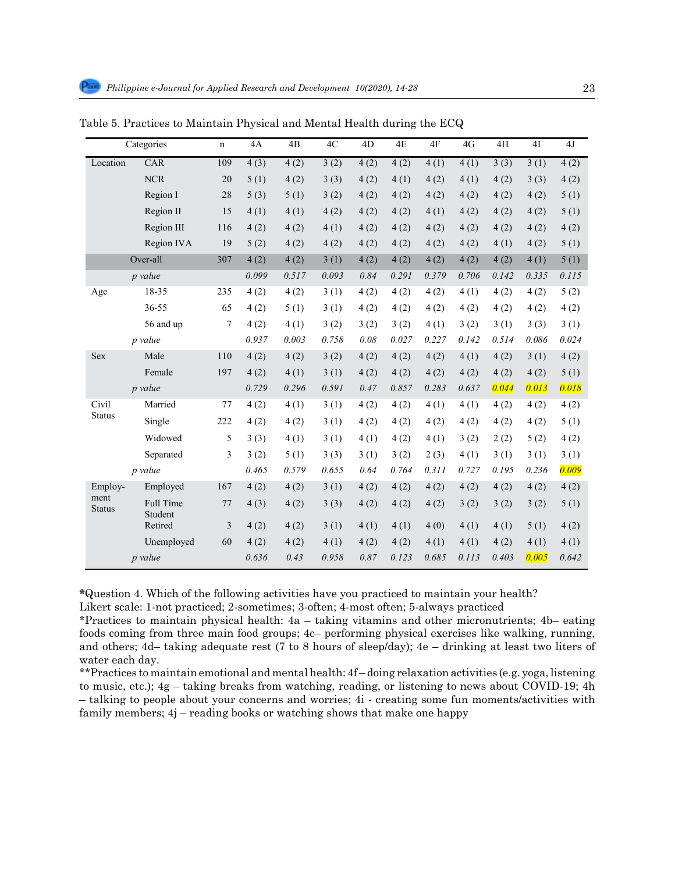|                       | Categories                  | $\mathbf n$ | 4A    | 4B    | 4C    | 4D   | 4E    | 4F    | 4G    | 4H    | 4I    | 4J    |
|-----------------------|-----------------------------|-------------|-------|-------|-------|------|-------|-------|-------|-------|-------|-------|
| Location              | <b>CAR</b>                  | 109         | 4(3)  | 4(2)  | 3(2)  | 4(2) | 4(2)  | 4(1)  | 4(1)  | 3(3)  | 3(1)  | 4(2)  |
|                       | <b>NCR</b>                  | 20          | 5(1)  | 4(2)  | 3(3)  | 4(2) | 4(1)  | 4(2)  | 4(1)  | 4(2)  | 3(3)  | 4(2)  |
|                       | Region I                    | 28          | 5(3)  | 5(1)  | 3(2)  | 4(2) | 4(2)  | 4(2)  | 4(2)  | 4(2)  | 4(2)  | 5(1)  |
|                       | Region II                   | 15          | 4(1)  | 4(1)  | 4(2)  | 4(2) | 4(2)  | 4(1)  | 4(2)  | 4(2)  | 4(2)  | 5(1)  |
|                       | Region III                  | 116         | 4(2)  | 4(2)  | 4(1)  | 4(2) | 4(2)  | 4(2)  | 4(2)  | 4(2)  | 4(2)  | 4(2)  |
|                       | Region IVA                  | 19          | 5(2)  | 4(2)  | 4(2)  | 4(2) | 4(2)  | 4(2)  | 4(2)  | 4(1)  | 4(2)  | 5(1)  |
|                       | Over-all                    | 307         | 4(2)  | 4(2)  | 3(1)  | 4(2) | 4(2)  | 4(2)  | 4(2)  | 4(2)  | 4(1)  | 5(1)  |
|                       | p value                     |             | 0.099 | 0.517 | 0.093 | 0.84 | 0.291 | 0.379 | 0.706 | 0.142 | 0.335 | 0.115 |
| Age                   | 18-35                       | 235         | 4(2)  | 4(2)  | 3(1)  | 4(2) | 4(2)  | 4(2)  | 4(1)  | 4(2)  | 4(2)  | 5(2)  |
|                       | 36-55                       | 65          | 4(2)  | 5(1)  | 3(1)  | 4(2) | 4(2)  | 4(2)  | 4(2)  | 4(2)  | 4(2)  | 4(2)  |
|                       | 56 and up                   | 7           | 4(2)  | 4(1)  | 3(2)  | 3(2) | 3(2)  | 4(1)  | 3(2)  | 3(1)  | 3(3)  | 3(1)  |
|                       | p value                     |             | 0.937 | 0.003 | 0.758 | 0.08 | 0.027 | 0.227 | 0.142 | 0.514 | 0.086 | 0.024 |
| <b>Sex</b>            | Male                        | 110         | 4(2)  | 4(2)  | 3(2)  | 4(2) | 4(2)  | 4(2)  | 4(1)  | 4(2)  | 3(1)  | 4(2)  |
|                       | Female                      | 197         | 4(2)  | 4(1)  | 3(1)  | 4(2) | 4(2)  | 4(2)  | 4(2)  | 4(2)  | 4(2)  | 5(1)  |
|                       | p value                     |             | 0.729 | 0.296 | 0.591 | 0.47 | 0.857 | 0.283 | 0.637 | 0.044 | 0.013 | 0.018 |
| Civil                 | Married                     | 77          | 4(2)  | 4(1)  | 3(1)  | 4(2) | 4(2)  | 4(1)  | 4(1)  | 4(2)  | 4(2)  | 4(2)  |
| <b>Status</b>         | Single                      | 222         | 4(2)  | 4(2)  | 3(1)  | 4(2) | 4(2)  | 4(2)  | 4(2)  | 4(2)  | 4(2)  | 5(1)  |
|                       | Widowed                     | 5           | 3(3)  | 4(1)  | 3(1)  | 4(1) | 4(2)  | 4(1)  | 3(2)  | 2(2)  | 5(2)  | 4(2)  |
|                       | Separated                   | 3           | 3(2)  | 5(1)  | 3(3)  | 3(1) | 3(2)  | 2(3)  | 4(1)  | 3(1)  | 3(1)  | 3(1)  |
|                       | p value                     |             | 0.465 | 0.579 | 0.655 | 0.64 | 0.764 | 0.311 | 0.727 | 0.195 | 0.236 | 0.009 |
| Employ-               | Employed                    | 167         | 4(2)  | 4(2)  | 3(1)  | 4(2) | 4(2)  | 4(2)  | 4(2)  | 4(2)  | 4(2)  | 4(2)  |
| ment<br><b>Status</b> | <b>Full Time</b><br>Student | 77          | 4(3)  | 4(2)  | 3(3)  | 4(2) | 4(2)  | 4(2)  | 3(2)  | 3(2)  | 3(2)  | 5(1)  |
|                       | Retired                     | 3           | 4(2)  | 4(2)  | 3(1)  | 4(1) | 4(1)  | 4(0)  | 4(1)  | 4(1)  | 5(1)  | 4(2)  |
|                       | Unemployed                  | 60          | 4(2)  | 4(2)  | 4(1)  | 4(2) | 4(2)  | 4(1)  | 4(1)  | 4(2)  | 4(1)  | 4(1)  |
|                       | <i>p</i> value              |             | 0.636 | 0.43  | 0.958 | 0.87 | 0.123 | 0.685 | 0.113 | 0.403 | 0.005 | 0.642 |

Table 5. Practices to Maintain Physical and Mental Health during the ECQ 342 Table 4. Practices to Maintain Physical and Mental Health during the ECQ

345 Likert scale: 1-not practiced; 2-sometimes; 3-often; 4-most often; 5-always practiced **\***Question 4. Which of the following activities have you practiced to maintain your health?

Likert scale: 1-not practiced; 2-sometimes; 3-often; 4-most often; 5-always practiced

\*Practices to maintain physical health: 4a – taking vitamins and other micronutrients; 4b– eating foods coming from three main food groups; 4c– performing physical exercises like walking, running, and others; 4d– taking adequate rest (7 to 8 hours of sleep/day); 4e – drinking at least two liters of water each day.  $\frac{1}{2}$  – taking breaks from water each day.

\*\*Practices to maintain emotional and mental health: 4f – doing relaxation activities (e.g. yoga, listening to music, etc.); 4g – taking breaks from watching, reading, or listening to news about COVID-19; 4h family members; 4j – reading books or watching shows that make one happy – talking to people about your concerns and worries; 4i - creating some fun moments/activities with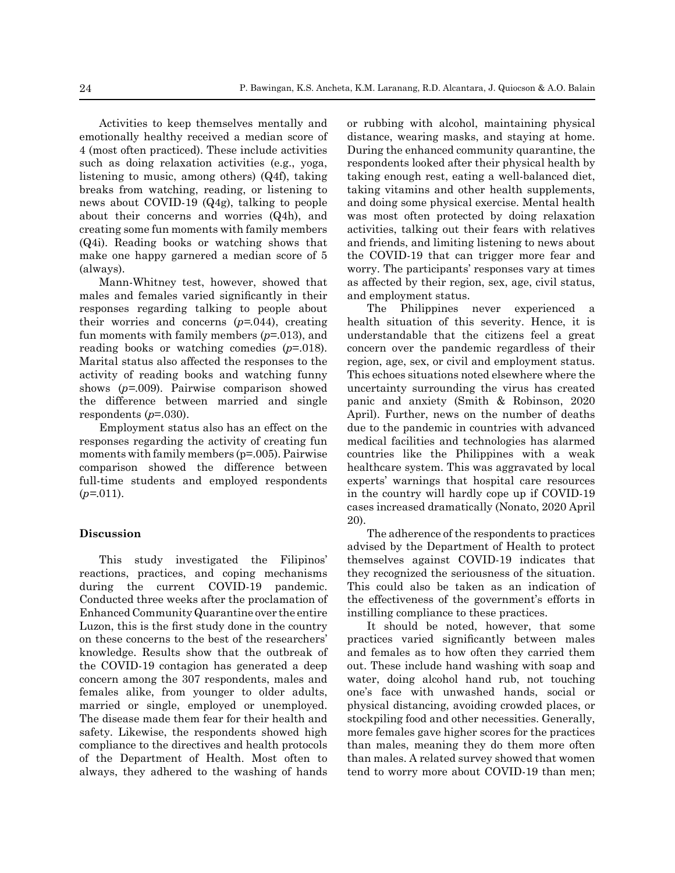Activities to keep themselves mentally and emotionally healthy received a median score of 4 (most often practiced). These include activities such as doing relaxation activities (e.g., yoga, listening to music, among others) (Q4f), taking breaks from watching, reading, or listening to news about COVID-19 (Q4g), talking to people about their concerns and worries (Q4h), and creating some fun moments with family members (Q4i). Reading books or watching shows that make one happy garnered a median score of 5 (always).

Mann-Whitney test, however, showed that males and females varied significantly in their responses regarding talking to people about their worries and concerns (*p=.*044), creating fun moments with family members (*p*=.013), and reading books or watching comedies (*p*=.018). Marital status also affected the responses to the activity of reading books and watching funny shows (*p=*.009). Pairwise comparison showed the difference between married and single respondents  $(p=0.030)$ .

Employment status also has an effect on the responses regarding the activity of creating fun moments with family members (p=.005). Pairwise comparison showed the difference between full-time students and employed respondents (*p=*.011).

## **Discussion**

This study investigated the Filipinos' reactions, practices, and coping mechanisms during the current COVID-19 pandemic. Conducted three weeks after the proclamation of Enhanced Community Quarantine over the entire Luzon, this is the first study done in the country on these concerns to the best of the researchers' knowledge. Results show that the outbreak of the COVID-19 contagion has generated a deep concern among the 307 respondents, males and females alike, from younger to older adults, married or single, employed or unemployed. The disease made them fear for their health and safety. Likewise, the respondents showed high compliance to the directives and health protocols of the Department of Health. Most often to always, they adhered to the washing of hands or rubbing with alcohol, maintaining physical distance, wearing masks, and staying at home. During the enhanced community quarantine, the respondents looked after their physical health by taking enough rest, eating a well-balanced diet, taking vitamins and other health supplements, and doing some physical exercise. Mental health was most often protected by doing relaxation activities, talking out their fears with relatives and friends, and limiting listening to news about the COVID-19 that can trigger more fear and worry. The participants' responses vary at times as affected by their region, sex, age, civil status, and employment status.

The Philippines never experienced a health situation of this severity. Hence, it is understandable that the citizens feel a great concern over the pandemic regardless of their region, age, sex, or civil and employment status. This echoes situations noted elsewhere where the uncertainty surrounding the virus has created panic and anxiety (Smith & Robinson, 2020 April). Further, news on the number of deaths due to the pandemic in countries with advanced medical facilities and technologies has alarmed countries like the Philippines with a weak healthcare system. This was aggravated by local experts' warnings that hospital care resources in the country will hardly cope up if COVID-19 cases increased dramatically (Nonato, 2020 April 20).

The adherence of the respondents to practices advised by the Department of Health to protect themselves against COVID-19 indicates that they recognized the seriousness of the situation. This could also be taken as an indication of the effectiveness of the government's efforts in instilling compliance to these practices.

It should be noted, however, that some practices varied significantly between males and females as to how often they carried them out. These include hand washing with soap and water, doing alcohol hand rub, not touching one's face with unwashed hands, social or physical distancing, avoiding crowded places, or stockpiling food and other necessities. Generally, more females gave higher scores for the practices than males, meaning they do them more often than males. A related survey showed that women tend to worry more about COVID-19 than men;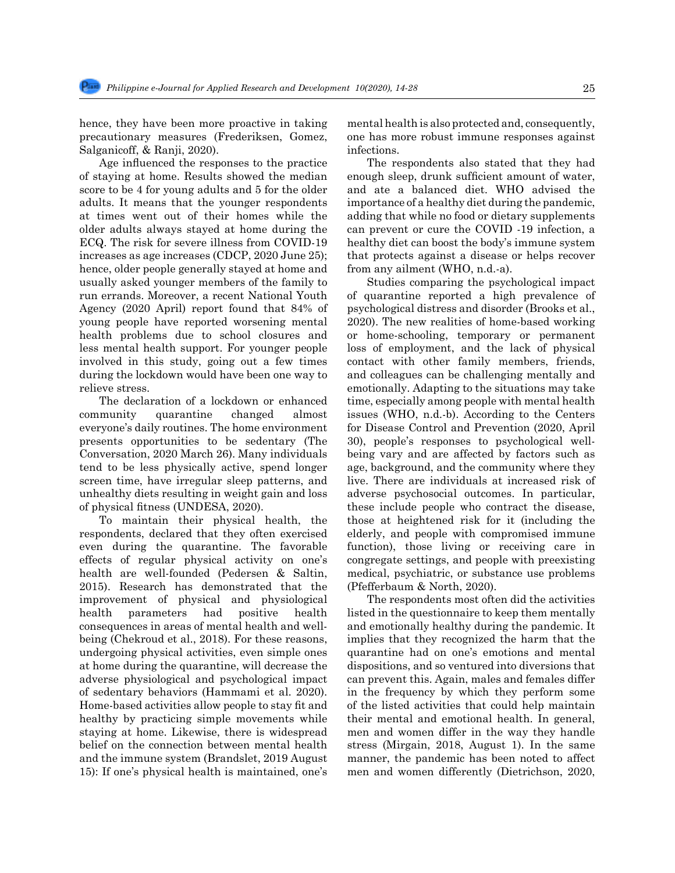hence, they have been more proactive in taking precautionary measures (Frederiksen, Gomez, Salganicoff, & Ranji, 2020).

 Age influenced the responses to the practice of staying at home. Results showed the median score to be 4 for young adults and 5 for the older adults. It means that the younger respondents at times went out of their homes while the older adults always stayed at home during the ECQ. The risk for severe illness from COVID-19 increases as age increases (CDCP, 2020 June 25); hence, older people generally stayed at home and usually asked younger members of the family to run errands. Moreover, a recent National Youth Agency (2020 April) report found that 84% of young people have reported worsening mental health problems due to school closures and less mental health support. For younger people involved in this study, going out a few times during the lockdown would have been one way to relieve stress.

The declaration of a lockdown or enhanced community quarantine changed almost everyone's daily routines. The home environment presents opportunities to be sedentary (The Conversation, 2020 March 26). Many individuals tend to be less physically active, spend longer screen time, have irregular sleep patterns, and unhealthy diets resulting in weight gain and loss of physical fitness (UNDESA, 2020).

To maintain their physical health, the respondents, declared that they often exercised even during the quarantine. The favorable effects of regular physical activity on one's health are well-founded (Pedersen & Saltin, 2015). Research has demonstrated that the improvement of physical and physiological health parameters had positive health consequences in areas of mental health and wellbeing (Chekroud et al., 2018). For these reasons, undergoing physical activities, even simple ones at home during the quarantine, will decrease the adverse physiological and psychological impact of sedentary behaviors (Hammami et al. 2020). Home-based activities allow people to stay fit and healthy by practicing simple movements while staying at home. Likewise, there is widespread belief on the connection between mental health and the immune system (Brandslet, 2019 August 15): If one's physical health is maintained, one's mental health is also protected and, consequently, one has more robust immune responses against infections.

The respondents also stated that they had enough sleep, drunk sufficient amount of water, and ate a balanced diet. WHO advised the importance of a healthy diet during the pandemic, adding that while no food or dietary supplements can prevent or cure the COVID -19 infection, a healthy diet can boost the body's immune system that protects against a disease or helps recover from any ailment (WHO, n.d.-a).

Studies comparing the psychological impact of quarantine reported a high prevalence of psychological distress and disorder (Brooks et al., 2020). The new realities of home-based working or home-schooling, temporary or permanent loss of employment, and the lack of physical contact with other family members, friends, and colleagues can be challenging mentally and emotionally. Adapting to the situations may take time, especially among people with mental health issues (WHO, n.d.-b). According to the Centers for Disease Control and Prevention (2020, April 30), people's responses to psychological wellbeing vary and are affected by factors such as age, background, and the community where they live. There are individuals at increased risk of adverse psychosocial outcomes. In particular, these include people who contract the disease, those at heightened risk for it (including the elderly, and people with compromised immune function), those living or receiving care in congregate settings, and people with preexisting medical, psychiatric, or substance use problems (Pfefferbaum & North, 2020).

The respondents most often did the activities listed in the questionnaire to keep them mentally and emotionally healthy during the pandemic. It implies that they recognized the harm that the quarantine had on one's emotions and mental dispositions, and so ventured into diversions that can prevent this. Again, males and females differ in the frequency by which they perform some of the listed activities that could help maintain their mental and emotional health. In general, men and women differ in the way they handle stress (Mirgain, 2018, August 1). In the same manner, the pandemic has been noted to affect men and women differently (Dietrichson, 2020,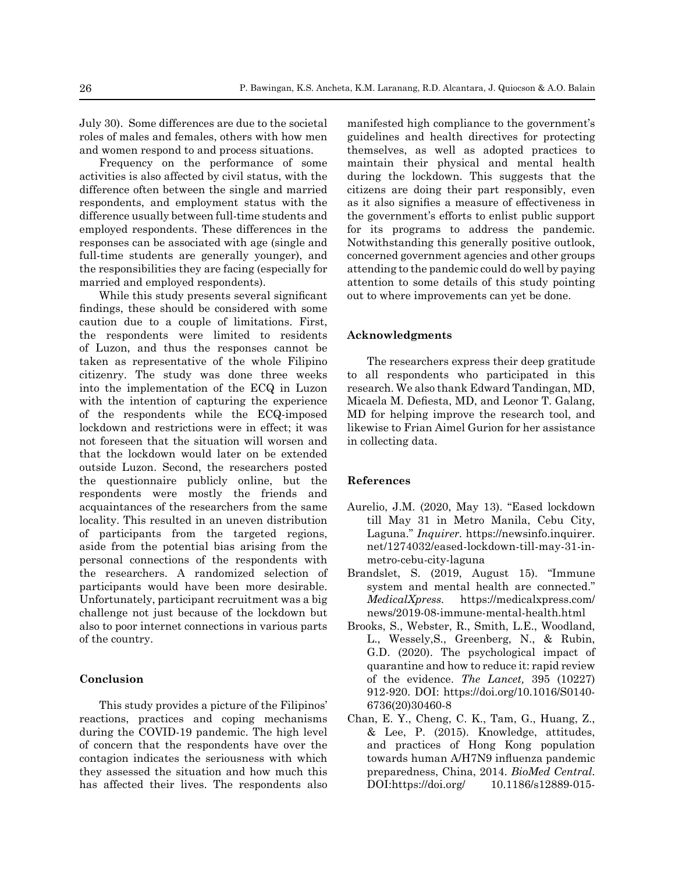July 30). Some differences are due to the societal roles of males and females, others with how men and women respond to and process situations.

Frequency on the performance of some activities is also affected by civil status, with the difference often between the single and married respondents, and employment status with the difference usually between full-time students and employed respondents. These differences in the responses can be associated with age (single and full-time students are generally younger), and the responsibilities they are facing (especially for married and employed respondents).

 While this study presents several significant findings, these should be considered with some caution due to a couple of limitations. First, the respondents were limited to residents of Luzon, and thus the responses cannot be taken as representative of the whole Filipino citizenry. The study was done three weeks into the implementation of the ECQ in Luzon with the intention of capturing the experience of the respondents while the ECQ-imposed lockdown and restrictions were in effect; it was not foreseen that the situation will worsen and that the lockdown would later on be extended outside Luzon. Second, the researchers posted the questionnaire publicly online, but the respondents were mostly the friends and acquaintances of the researchers from the same locality. This resulted in an uneven distribution of participants from the targeted regions, aside from the potential bias arising from the personal connections of the respondents with the researchers. A randomized selection of participants would have been more desirable. Unfortunately, participant recruitment was a big challenge not just because of the lockdown but also to poor internet connections in various parts of the country.

# **Conclusion**

This study provides a picture of the Filipinos' reactions, practices and coping mechanisms during the COVID-19 pandemic. The high level of concern that the respondents have over the contagion indicates the seriousness with which they assessed the situation and how much this has affected their lives. The respondents also manifested high compliance to the government's guidelines and health directives for protecting themselves, as well as adopted practices to maintain their physical and mental health during the lockdown. This suggests that the citizens are doing their part responsibly, even as it also signifies a measure of effectiveness in the government's efforts to enlist public support for its programs to address the pandemic. Notwithstanding this generally positive outlook, concerned government agencies and other groups attending to the pandemic could do well by paying attention to some details of this study pointing out to where improvements can yet be done.

## **Acknowledgments**

The researchers express their deep gratitude to all respondents who participated in this research. We also thank Edward Tandingan, MD, Micaela M. Defiesta, MD, and Leonor T. Galang, MD for helping improve the research tool, and likewise to Frian Aimel Gurion for her assistance in collecting data.

## **References**

- Aurelio, J.M. (2020, May 13). "Eased lockdown till May 31 in Metro Manila, Cebu City, Laguna." *Inquirer.* https://newsinfo.inquirer. net/1274032/eased-lockdown-till-may-31-inmetro-cebu-city-laguna
- Brandslet, S. (2019, August 15). "Immune system and mental health are connected." *MedicalXpress.* https://medicalxpress.com/ news/2019-08-immune-mental-health.html
- Brooks, S., Webster, R., Smith, L.E., Woodland, L., Wessely,S., Greenberg, N., & Rubin, G.D. (2020). The psychological impact of quarantine and how to reduce it: rapid review of the evidence. *The Lancet,* 395 (10227) 912-920. DOI: https://doi.org/10.1016/S0140- 6736(20)30460-8
- Chan, E. Y., Cheng, C. K., Tam, G., Huang, Z., & Lee, P. (2015). Knowledge, attitudes, and practices of Hong Kong population towards human A/H7N9 influenza pandemic preparedness, China, 2014. *BioMed Central*. DOI:https://doi.org/ 10.1186/s12889-015-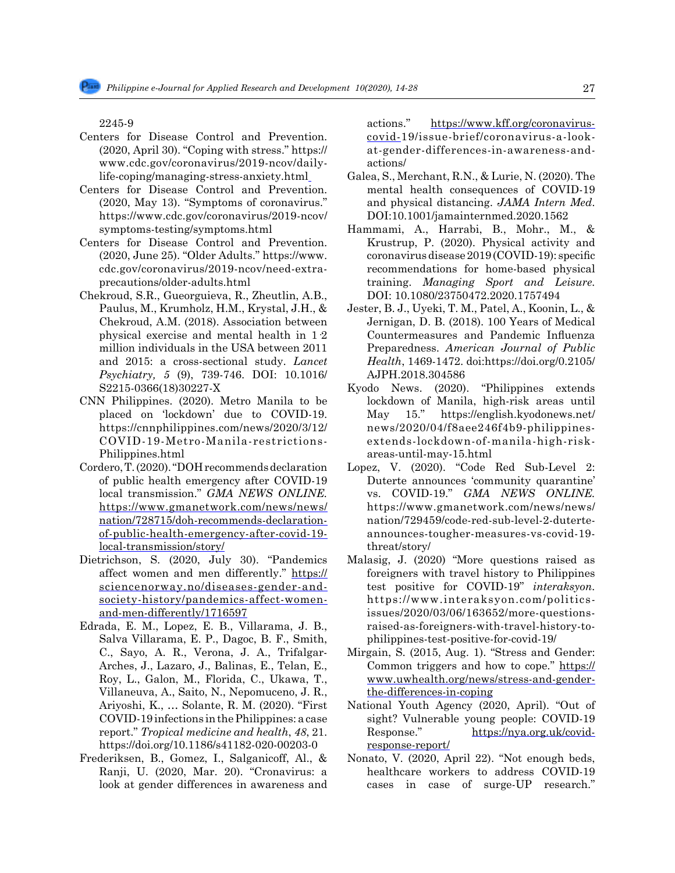2245-9

- Centers for Disease Control and Prevention. (2020, April 30). "Coping with stress." https:// www.cdc.gov/coronavirus/2019-ncov/dailylife-coping/managing-stress-anxiety.html
- Centers for Disease Control and Prevention. (2020, May 13). "Symptoms of coronavirus." https://www.cdc.gov/coronavirus/2019-ncov/ symptoms-testing/symptoms.html
- Centers for Disease Control and Prevention. (2020, June 25). "Older Adults." https://www. cdc.gov/coronavirus/2019-ncov/need-extraprecautions/older-adults.html
- Chekroud, S.R., Gueorguieva, R., Zheutlin, A.B., Paulus, M., Krumholz, H.M., Krystal, J.H., & Chekroud, A.M. (2018). Association between physical exercise and mental health in 1·2 million individuals in the USA between 2011 and 2015: a cross-sectional study. *Lancet Psychiatry, 5* (9), 739-746. DOI: 10.1016/ S2215-0366(18)30227-X
- CNN Philippines. (2020). Metro Manila to be placed on 'lockdown' due to COVID-19. https://cnnphilippines.com/news/2020/3/12/ COVID-19-Metro-Manila-restrictions-Philippines.html
- Cordero, T. (2020). "DOH recommends declaration of public health emergency after COVID-19 local transmission." *GMA NEWS ONLINE.*  [https://www.gmanetwork.com/news/news/](https://www.gmanetwork.com/news/news/nation/728715/doh-recommends-declaration-of-public-health-emergency-after-covid-19-local-transmission/story/) [nation/728715/doh-recommends-declaration](https://www.gmanetwork.com/news/news/nation/728715/doh-recommends-declaration-of-public-health-emergency-after-covid-19-local-transmission/story/)[of-public-health-emergency-after-covid-19](https://www.gmanetwork.com/news/news/nation/728715/doh-recommends-declaration-of-public-health-emergency-after-covid-19-local-transmission/story/) [local-transmission/story/](https://www.gmanetwork.com/news/news/nation/728715/doh-recommends-declaration-of-public-health-emergency-after-covid-19-local-transmission/story/)
- Dietrichson, S. (2020, July 30). "Pandemics affect women and men differently." [https://](https://sciencenorway.no/diseases-gender-and-society-history/pandemics-affect-women-and-men-differently/1716597) [sciencenorway.no/diseases-gender-and](https://sciencenorway.no/diseases-gender-and-society-history/pandemics-affect-women-and-men-differently/1716597)[society-history/pandemics-affect-women](https://sciencenorway.no/diseases-gender-and-society-history/pandemics-affect-women-and-men-differently/1716597)[and-men-differently/1716597](https://sciencenorway.no/diseases-gender-and-society-history/pandemics-affect-women-and-men-differently/1716597)
- Edrada, E. M., Lopez, E. B., Villarama, J. B., Salva Villarama, E. P., Dagoc, B. F., Smith, C., Sayo, A. R., Verona, J. A., Trifalgar-Arches, J., Lazaro, J., Balinas, E., Telan, E., Roy, L., Galon, M., Florida, C., Ukawa, T., Villaneuva, A., Saito, N., Nepomuceno, J. R., Ariyoshi, K., … Solante, R. M. (2020). "First COVID-19 infections in the Philippines: a case report." *Tropical medicine and health*, *48*, 21. https://doi.org/10.1186/s41182-020-00203-0
- Frederiksen, B., Gomez, I., Salganicoff, Al., & Ranji, U. (2020, Mar. 20). "Cronavirus: a look at gender differences in awareness and

actions." [https://www.kff.org/coronavirus](https://www.kff.org/coronavirus-covid-)[covid-](https://www.kff.org/coronavirus-covid-)19/issue-brief/coronavirus-a-lookat-gender-differences-in-awareness-andactions/

- Galea, S., Merchant, R.N., & Lurie, N. (2020). The mental health consequences of COVID-19 and physical distancing. *JAMA Intern Med*. DOI:10.1001/jamainternmed.2020.1562
- Hammami, A., Harrabi, B., Mohr., M., & Krustrup, P. (2020). Physical activity and coronavirusdisease2019(COVID-19): specific recommendations for home-based physical training. *Managing Sport and Leisure.* DOI: 10.1080/23750472.2020.1757494
- Jester, B. J., Uyeki, T. M., Patel, A., Koonin, L., & Jernigan, D. B. (2018). 100 Years of Medical Countermeasures and Pandemic Influenza Preparedness. *American Journal of Public Health*, 1469-1472. doi:https://doi.org/0.2105/ AJPH.2018.304586
- Kyodo News. (2020). "Philippines extends lockdown of Manila, high-risk areas until May 15." https://english.kyodonews.net/ news/2020/04/f8aee246f4b9-philippinesextends-lockdown-of-manila-high-riskareas-until-may-15.html
- Lopez, V. (2020). "Code Red Sub-Level 2: Duterte announces 'community quarantine' vs. COVID-19." *GMA NEWS ONLINE.*  https://www.gmanetwork.com/news/news/ nation/729459/code-red-sub-level-2-duterteannounces-tougher-measures-vs-covid-19 threat/story/
- Malasig, J. (2020) "More questions raised as foreigners with travel history to Philippines test positive for COVID-19" *interaksyon.*  https://www.interaksyon.com/politicsissues/2020/03/06/163652/more-questionsraised-as-foreigners-with-travel-history-tophilippines-test-positive-for-covid-19/
- Mirgain, S. (2015, Aug. 1). "Stress and Gender: Common triggers and how to cope." [https://](https://www.uwhealth.org/news/stress-and-gender-the-differences-in-coping) [www.uwhealth.org/news/stress-and-gender](https://www.uwhealth.org/news/stress-and-gender-the-differences-in-coping)[the-differences-in-coping](https://www.uwhealth.org/news/stress-and-gender-the-differences-in-coping)
- National Youth Agency (2020, April). "Out of sight? Vulnerable young people: COVID-19 Response." [https://nya.org.uk/covid](https://nya.org.uk/covid-response-report/)[response-report/](https://nya.org.uk/covid-response-report/)
- Nonato, V. (2020, April 22). "Not enough beds, healthcare workers to address COVID-19 cases in case of surge-UP research."